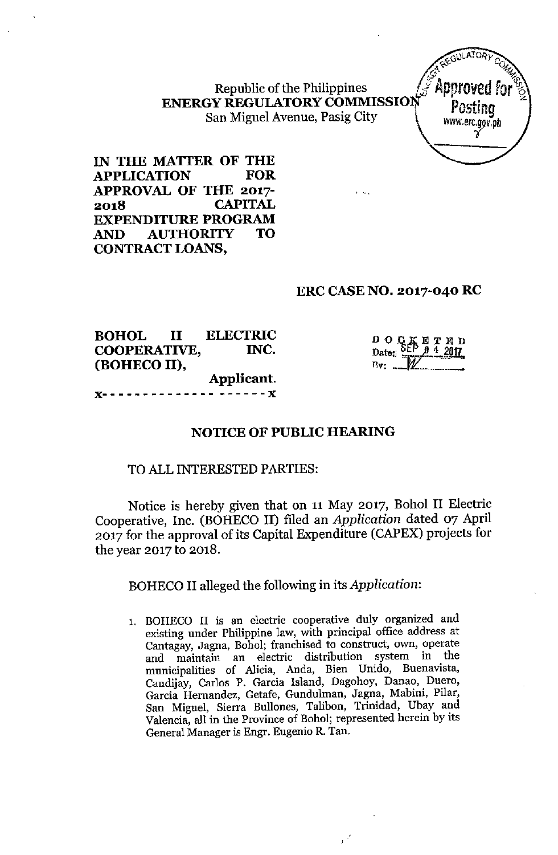Republic of the Philippines ENERGY REGULATORY COMMISSION Posting <sup>z</sup> Republic of the Philippines<br>
San Miguel Avenue, Pasig City With Ware of the San Miguel Avenue, Pasig City With Ware agov.ph



IN THE MATTER OF THE APPLICATION FOR APPROVAL OF THE 2017- 2018 CAPITAL EXPENDITURE PROGRAM AND AUTHORITY TO CONTRACT LOANS,

## ERC CASE NO. 2017-040 RC

, ...

BOHOL II ELECTRIC COOPERATIVE, INC. (BOHECO II), Applicant,  $- - - - - x$ 

| $\frac{D\ O\ Q\ K\ E\ T\ E\ D}$<br>Date: $\frac{SEP\ B\ 4\ 2017}{P}$ |
|----------------------------------------------------------------------|
|                                                                      |

# NOTICE OF PUBLIC HEARING

### TO ALL INTERESTED PARTIES:

Notice is hereby given that on 11 May 2017, Bohol II Electric Cooperative, Inc. (BOHECO II) filed an *Application* dated 07 April 2017 for the approval of its Capital Expenditure (CAPEX) projects for the year 2017 to 2018.

BOHECO II alleged the following in its *Application:*

1. BOHECO II is an electric cooperative duly organized and existing under Philippine law, with principal office address at Cantagay, Jagna, Bohol; franchised to construct, own, operate and maintain an electric distribution system in the municipalities of Alicia, Anda, Bien Unido, Buenavista, Candijay, Carlos P. Garcia Island, Dagohoy, Danao, Duero, Garcia Hernandez, Getafe, Gundulman, Jagna, Mabini, Pilar, San Miguel, Sierra Bullones, Talibon, Trinidad, Ubay and Valencia, all in the Province of Bohol; represented herein by its General Manager is Engr. Eugenio R. Tan.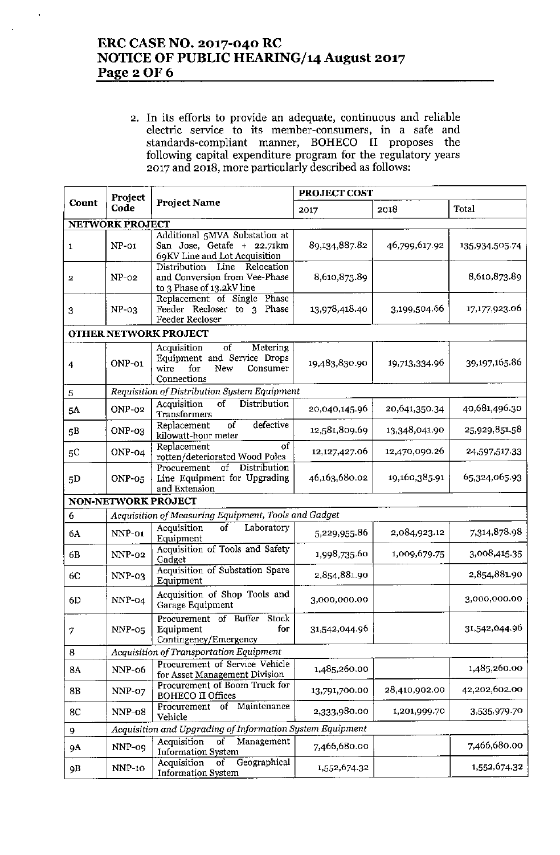# ERC CASE NO. 2017-040 RC NOTICE OF PUBLIC HEARING/14 August 2017 Page 2 OF 6

2. In its efforts to provide an adequate, continuous and reliable electric service to its member-consumers, in a safe and standards-compliant manner, BOHECO II proposes the following capital expenditure program for the regulatory years 2017 and 2018, more particularly described as follows:

|                         | Project                                                   |                                                                                                               | PROJECT COST  |               |                |  |  |  |
|-------------------------|-----------------------------------------------------------|---------------------------------------------------------------------------------------------------------------|---------------|---------------|----------------|--|--|--|
| Count                   | Code                                                      | <b>Project Name</b>                                                                                           | 2017          | 2018          | Total          |  |  |  |
| <b>NETWORK PROJECT</b>  |                                                           |                                                                                                               |               |               |                |  |  |  |
| 1                       | $NP-01$                                                   | Additional 5MVA Substation at<br>San Jose, Getafe + 22.71km<br>69KV Line and Lot Acquisition                  | 89,134,887.82 | 46,799,617.92 | 135,934,505.74 |  |  |  |
| 2                       | $NP-02$                                                   | Distribution<br>Line<br>Relocation<br>and Conversion from Vee-Phase<br>to 3 Phase of 13.2kV line              | 8,610,873.89  |               | 8,610,873.89   |  |  |  |
| 3                       | $NP-03$                                                   | Replacement of Single<br>Phase<br>Feeder Recloser to 3<br>Phase<br>Feeder Recloser                            | 13,978,418.40 | 3,199,504.66  | 17,177,923.06  |  |  |  |
|                         |                                                           | OTHER NETWORK PROJECT                                                                                         |               |               |                |  |  |  |
| $\overline{\mathbf{4}}$ | ONP-01                                                    | of<br>Acquisition<br>Metering<br>Equipment and Service Drops<br>for<br>New<br>Consumer<br>wire<br>Connections | 19,483,830.90 | 19,713,334.96 | 39,197,165.86  |  |  |  |
| 5                       |                                                           | Requisition of Distribution System Equipment                                                                  |               |               |                |  |  |  |
| 5A                      | ONP-02                                                    | <b>Distribution</b><br>of<br>Acquisition<br>Transformers                                                      | 20,040,145.96 | 20,641,350.34 | 40,681,496.30  |  |  |  |
| 5 <sub>B</sub>          | ONP-03                                                    | defective<br>$\overline{of}$<br>Replacement<br>kilowatt-hour meter                                            | 12,581,809.69 | 13,348,041.90 | 25,929,851.58  |  |  |  |
| 5C                      | ONP-04                                                    | of<br>Replacement<br>rotten/deteriorated Wood Poles                                                           | 12,127,427.06 | 12,470,090.26 | 24,597,517.33  |  |  |  |
| 5D                      | $ONP-05$                                                  | Distribution<br>Procurement<br>of<br>Line Equipment for Upgrading<br>and Extension                            | 46,163,680.02 | 19,160,385.91 | 65,324,065.93  |  |  |  |
|                         | <b>NON-NETWORK PROJECT</b>                                |                                                                                                               |               |               |                |  |  |  |
| 6                       | Acquisition of Measuring Equipment, Tools and Gadget      |                                                                                                               |               |               |                |  |  |  |
| 6A                      | NNP-01                                                    | $\overline{\text{of}}$<br>Laboratory<br>Acquisition<br>Equipment                                              | 5,229,955.86  | 2,084,923.12  | 7,314,878.98   |  |  |  |
| 6B                      | $NNP-02$                                                  | Acquisition of Tools and Safety<br>Gadget                                                                     | 1,998,735.60  | 1,009,679.75  | 3,008,415.35   |  |  |  |
| 6C                      | $NNP-03$                                                  | Acquisition of Substation Spare<br>Equipment                                                                  | 2,854,881.90  |               | 2,854,881.90   |  |  |  |
| 6D.                     | $NNP-04$                                                  | Acquisition of Shop Tools and<br>Garage Equipment                                                             | 3,000,000.00  |               | 3,000,000.00   |  |  |  |
| 7                       | NNP-05                                                    | Procurement of Buffer<br>Stock<br>for<br>Equipment<br>Contingency/Emergency                                   | 31,542,044.96 |               | 31,542,044.96  |  |  |  |
| 8                       |                                                           | Acquisition of Transportation Equipment                                                                       |               |               |                |  |  |  |
| 8A                      | NNP-06                                                    | Procurement of Service Vehicle<br>for Asset Management Division                                               | 1,485,260.00  |               | 1,485,260.00   |  |  |  |
| 8B                      | NNP-07                                                    | Procurement of Boom Truck for<br><b>BOHECO II Offices</b>                                                     | 13,791,700.00 | 28,410,902.00 | 42,202,602.00  |  |  |  |
| 8C                      | NNP-08                                                    | of Maintenance<br>Procurement<br>Vehicle                                                                      | 2,333,980.00  | 1,201,999.70  | 3,535,979.70   |  |  |  |
| 9                       | Acquisition and Upgrading of Information System Equipment |                                                                                                               |               |               |                |  |  |  |
| 9A                      | NNP-09                                                    | $\overline{of}$<br>Acquisition<br>Management<br><b>Information System</b>                                     | 7,466,680.00  |               | 7,466,680.00   |  |  |  |
| 9B                      | NNP-10                                                    | Geographical<br>Acquisition<br>of<br><b>Information System</b>                                                | 1,552,674.32  |               | 1,552,674.32   |  |  |  |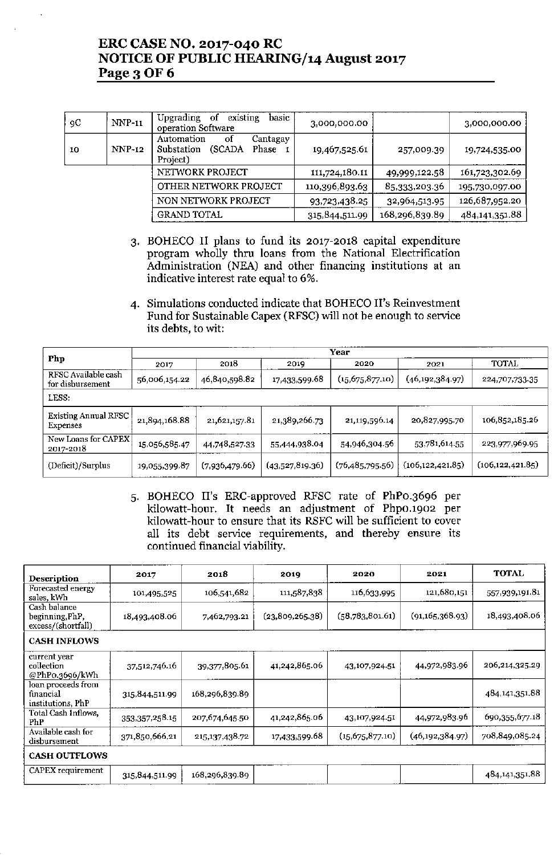# ERC CASE NO. 2017-040 RC NOTICE OF PUBLIC HEARING/14 August 2017 Page 3 OF 6

| 9C | $NNP-11$      | existing<br>Upgrading<br>of<br>basic<br>operation Software                 | 3,000,000.00   |                | 3,000,000.00   |
|----|---------------|----------------------------------------------------------------------------|----------------|----------------|----------------|
| 10 | <b>NNP-12</b> | Automation<br>οf<br>Cantagay<br>(SCADA)<br>Phase<br>Substation<br>Project) | 19,467,525.61  | 257,009.39     | 19,724,535.00  |
|    |               | NETWORK PROJECT                                                            | 111,724,180.11 | 49,999,122.58  | 161,723,302.69 |
|    |               | OTHER NETWORK PROJECT                                                      | 110,396,893.63 | 85,333,203.36  | 195,730,097.00 |
|    |               | NON NETWORK PROJECT                                                        | 93,723,438.25  | 32,964,513.95  | 126,687,952.20 |
|    |               | <b>GRAND TOTAL</b>                                                         | 315,844,511.99 | 168,296,839.89 | 484,141,351.88 |

- 3. BOHECO II plans to fund its 2017-2018 capital expenditure program wholly thru loans from the National Electrification Administration (NEA) and other financing institutions at an indicative interest rate equal to 6%.
- 4. Simulations conducted indicate that BOHECO II's Reinvestment Fund for Sustainable Capex (RFSC) will not be enough to service its debts, to wit:

|                                         | Year          |                |                 |                    |                    |                    |  |  |
|-----------------------------------------|---------------|----------------|-----------------|--------------------|--------------------|--------------------|--|--|
| Php                                     | 2017          | 2018           | 2019            | 2020               | 2021               | TOTAL              |  |  |
| RFSC Available cash<br>for disbursement | 56,006,154.22 | 46,840,598.82  | 17,433,599.68   | (15, 675, 877, 10) | (46, 192, 384.97)  | 224,707,733.35     |  |  |
| LESS:                                   |               |                |                 |                    |                    |                    |  |  |
| <b>Existing Annual RFSC</b><br>Expenses | 21,894,168.88 | 21,621,157.81  | 21,389,266.73   | 21,119,596.14      | 20,827,995.70      | 106,852,185.26     |  |  |
| New Loans for CAPEX<br>2017-2018        | 15,056,585.47 | 44,748,527.33  | 55,444,938.04   | 54,946,304.56      | 53,781,614.55      | 223,977,969.95     |  |  |
| (Deficit)/Surplus                       | 19,055,399.87 | (7,936,479.66) | (43,527,819.36) | (76, 485, 795.56)  | (106, 122, 421.85) | (106, 122, 421.85) |  |  |

5. BOHECO II's ERC-approved RFSC rate of PhPO.3696 per kilowatt-hour. It needs an adjustment of PhpO.1902 per kilowatt-hour to ensure that its RSFC will be sufficient to cover all its debt service requirements, and thereby ensure its continued financial viability,

| Description                                           | 2017           | 2018           | 2019            | 2020              | 2021              | <b>TOTAL</b>      |  |
|-------------------------------------------------------|----------------|----------------|-----------------|-------------------|-------------------|-------------------|--|
| Forecasted energy<br>sales, kWh                       | 101,495,525    | 106,541,682    | 111,587,838     | 116,633,995       | 121,680,151       | 557,939,191.81    |  |
| Cash balance<br>beginning, PhP,<br>excess/(shortfall) | 18,493,408.06  | 7,462,793.21   | (23,809,265.38) | (58,783,801.61)   | (91, 165, 368.93) | 18,493,408.06     |  |
| <b>CASH INFLOWS</b>                                   |                |                |                 |                   |                   |                   |  |
| current year<br>collection<br>@PhP0.3696/kWh          | 37,512,746.16  | 39,377,805.61  | 41,242,865.06   | 43,107,924.51     | 44,972,983.96     | 206,214,325.29    |  |
| loan proceeds from<br>financial<br>institutions. PhP  | 315,844,511.99 | 168,296,839.89 |                 |                   |                   | 484, 141, 351, 88 |  |
| Total Cash Inflows,<br>PhP                            | 353,357,258.15 | 207,674,645.50 | 41,242,865.06   | 43,107,924.51     | 44,972,983.96     | 690,355,677.18    |  |
| Available cash for<br>disbursement                    | 371,850,666.21 | 215,137,438.72 | 17,433,599.68   | (15, 675, 877.10) | (46, 192, 384.97) | 708,849,085.24    |  |
| <b>CASH OUTFLOWS</b>                                  |                |                |                 |                   |                   |                   |  |
| CAPEX requirement                                     | 315,844,511.99 | 168,296,839.89 |                 |                   |                   | 484,141,351.88    |  |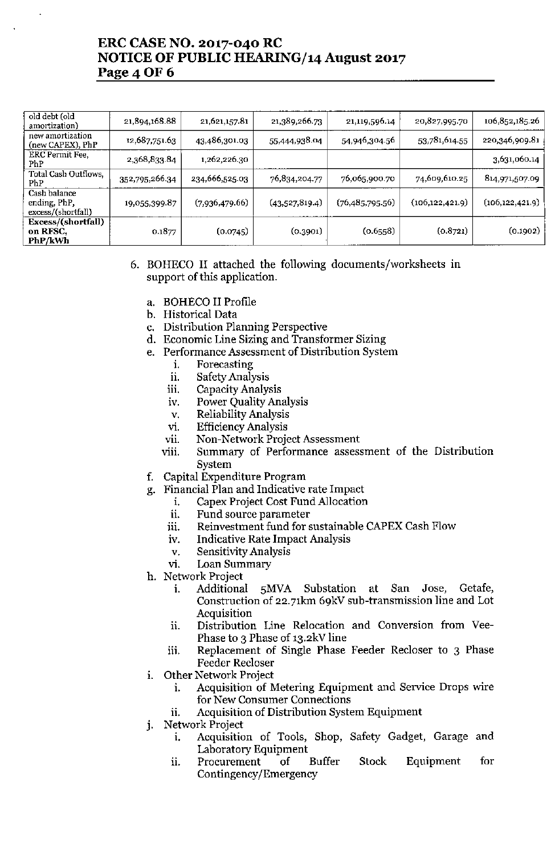# ERC CASE NO. 2017-040 RC NOTICE OF PUBLIC HEARING/14 August 2017 Page 4 OF 6

| old debt (old<br>amortization)                     | 21,894,168.88  | 21,621,157.81  | 21,389,266.73  | 21,119,596.14   | 20,827,995.70     | 106,852,185.26    |
|----------------------------------------------------|----------------|----------------|----------------|-----------------|-------------------|-------------------|
| new amortization<br>(new CAPEX), PhP               | 12,687,751.63  | 43,486,301.03  | 55,444,938.04  | 54,946,304.56   | 53,781,614.55     | 220,346,909.81    |
| ERC Permit Fee,<br>PhP                             | 2,368,833.84   | 1,262,226.30   |                |                 |                   | 3,631,060.14      |
| Total Cash Outflows,<br>PhP                        | 352,795,266.34 | 234,666,525.03 | 76,834,204.77  | 76,065,900.70   | 74,609,610.25     | 814,971,507.09    |
| Cash balance<br>ending, PhP,<br>excess/(shortfall) | 19,055,399.87  | (7,936,479.66) | (43,527,819.4) | (76,485,795.56) | (106, 122, 421.9) | (106, 122, 421.9) |
| Excess/(shortfall)<br>on RFSC,<br>PhP/kWh          | 0.1877         | (0.0745)       | (0.3901)       | (0.6558)        | (0.8721)          | (0.1902)          |

### 6. BOHECO II attached the following documents/worksheets in support of this application.

- a. BOHECO II Profile
- b. Historical Data
- c. Distribution Planning Perspective
- d. Economic Line Sizing and Transformer Sizing
- e. Performance Assessment of Distribution System
	- i. Forecasting
	- ii. Safety Analysis
	- iii. Capacity Analysis
	- iv. Power Quality Analysis
	- v. Reliability Analysis
	- vi. EfficiencyAnalysis
	- vii. Non-Network Project Assessment
	- viii. Summary of Performance assessment of the Distribution System
- f. Capital Expenditure Program
- g. Financial Plan and Indicative rate Impact
	- i. Capex Project Cost Fund Allocation
	- ii. Fund source parameter
	- iii. Reinvestment fund for sustainable CAPEX Cash Flow
	- iv. Indicative Rate Impact Analysis
	- v. Sensitivity Analysis
	- vi. Loan Summary
- h. Network Project
	- i. Additional SMVA Substation at San Jose, Getafe, Construction of 22.7lkm 69kV sub-transmission line and Lot Acquisition
	- ii. Distribution Line Relocation and Conversion from Vee-Phase to 3 Phase of 13.2kV line
	- iii. Replacement of Single Phase Feeder Recloser to 3 Phase Feeder Recloser
- 1. Other Network Project
	- i. Acquisition of Metering Equipment and Service Drops wire for New Consumer Connections
	- ii. Acquisition of Distribution System Equipment
- j. Network Project
	- i. Acquisition of Tools, Shop, Safety Gadget, Garage and Laboratory Equipment
	- 11. Procurement of Buffer Stock Equipment for Contingency/Emergency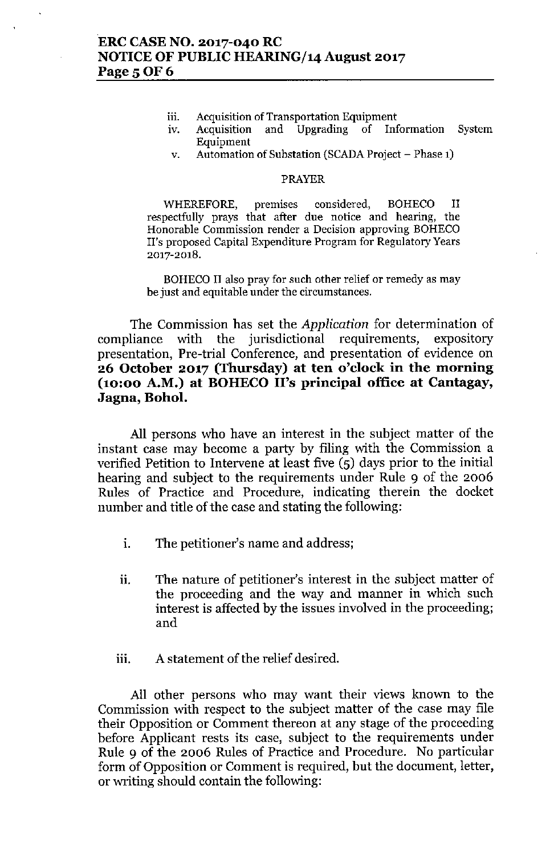- 
- **lll. Acquisition of Transportation Equipment IV. Acquisition and Upgrading of Information System** Equipment
- v. Automation of Substation (SCADA Project Phase 1)

### PRAYER

WHEREFORE, premises considered, BOHECO II respectfully prays that after due notice and hearing, the **Honorable Commission render a Decision approving BOHECO II's proposed Capital Expenditure Program for Regulatory Years** 2017-2018.

BOHECO II also pray for such other relief or remedy as may **be just and equitable under the circumstances.**

The Commission has set the *Application* for determination of compliance with the jurisdictional requirements, expository presentation, Pre-trial Conference, and presentation of evidence on **26 October 2017 (Thursday) at ten o'clock in the morning (10:00 A.M.) at BOHECO II's principal office at Cantagay,** Jagna, Bohol.

All persons who have an interest in the subject matter of the instant case may become a party by filing with the Commission a verified Petition to Intervene at least five (5) days prior to the initial hearing and subject to the requirements under Rule 9 of the 2006 Rules of Practice and Procedure, indicating therein the docket number and title of the case and stating the following:

- i. The petitioner's name and address;
- ii. The nature of petitioner's interest in the subject matter of the proceeding and the way and manner in which such interest is affected by the issues involved in the proceeding; and
- iii. A statement of the relief desired.

All other persons who may want their views known to the Commission with respect to the subject matter of the case may file their Opposition or Comment thereon at any stage of the proceeding before Applicant rests its case, subject to the requirements under Rule 9 of the 2006 Rules of Practice and Procedure. No particular form of Opposition or Comment is required, but the document, letter, or writing should contain the following: